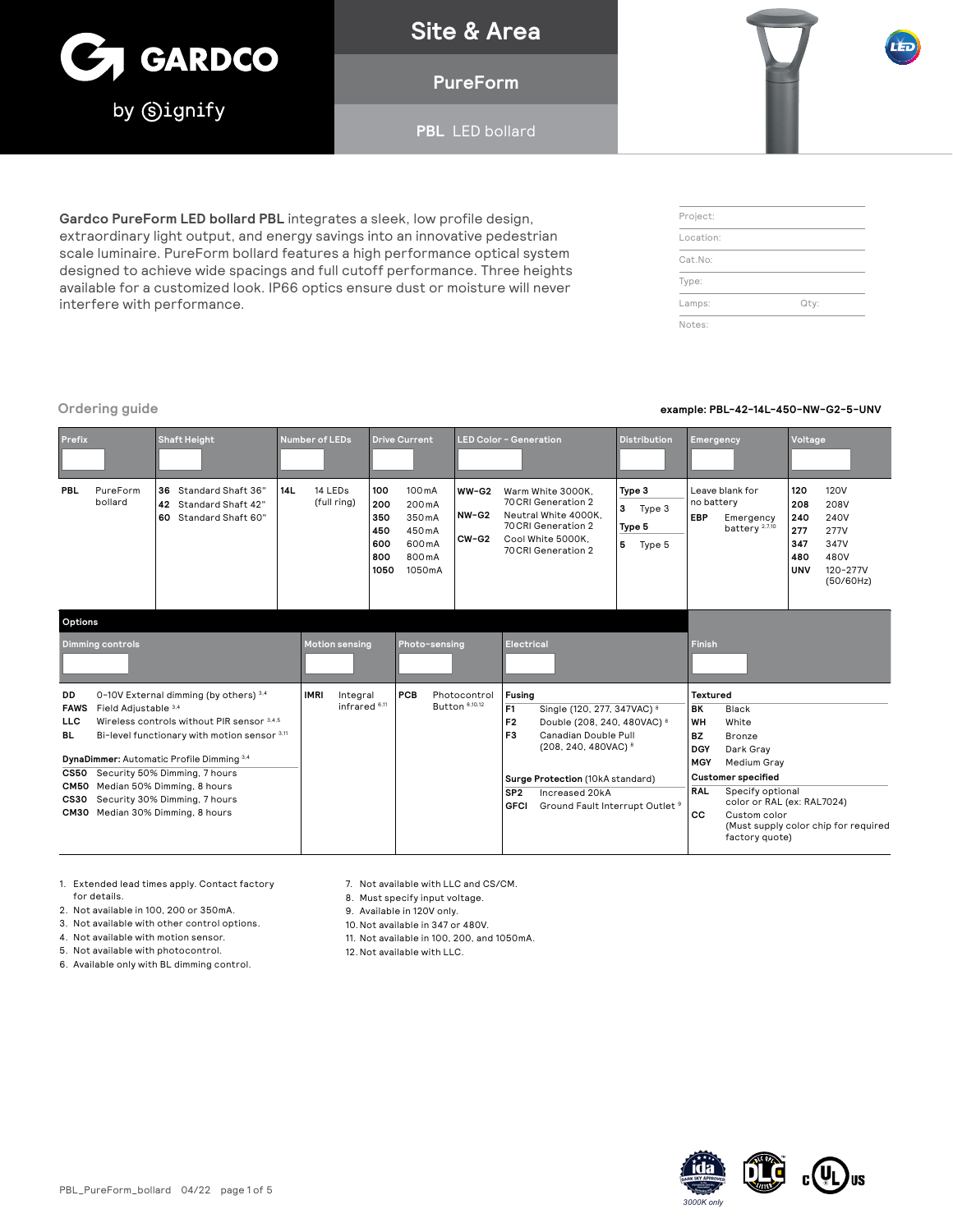

**Site & Area**

**PureForm** 

**PBL** LED bollard

**Gardco PureForm LED bollard PBL** integrates a sleek, low profile design, extraordinary light output, and energy savings into an innovative pedestrian scale luminaire. PureForm bollard features a high performance optical system designed to achieve wide spacings and full cutoff performance. Three heights available for a customized look. IP66 optics ensure dust or moisture will never interfere with performance.

## Project: Location: Cat.No: Type: Lamps: Qty: Notes:

### **Ordering guide example: PBL-42-14L-450-NW-G2-5-UNV**

| <b>Prefix</b>                                                                                                                                                                                                                                                                                                                          |                         | <b>Shaft Height</b>                                                              | <b>Number of LEDs</b>                               |                                                | <b>Drive Current</b>                                                                                  |                                           | <b>LED Color - Generation</b>                                                                                                                                                                                                        | <b>Distribution</b>                            | <b>Emergency</b>                                                     |                                                                                                 | Voltage                                              |                                                                              |
|----------------------------------------------------------------------------------------------------------------------------------------------------------------------------------------------------------------------------------------------------------------------------------------------------------------------------------------|-------------------------|----------------------------------------------------------------------------------|-----------------------------------------------------|------------------------------------------------|-------------------------------------------------------------------------------------------------------|-------------------------------------------|--------------------------------------------------------------------------------------------------------------------------------------------------------------------------------------------------------------------------------------|------------------------------------------------|----------------------------------------------------------------------|-------------------------------------------------------------------------------------------------|------------------------------------------------------|------------------------------------------------------------------------------|
| PBL                                                                                                                                                                                                                                                                                                                                    | PureForm<br>bollard     | Standard Shaft 36'<br>36<br>Standard Shaft 42"<br>42<br>Standard Shaft 60"<br>60 | 14 LEDs<br>14L<br>(full ring)                       | 100<br>200<br>350<br>450<br>600<br>800<br>1050 | 100 mA<br>200 <sub>m</sub> A<br>350 <sub>m</sub> A<br>450 <sub>m</sub> A<br>600 mA<br>800mA<br>1050mA | $WW-G2$<br>$NW-G2$<br>$CW-G2$             | Warm White 3000K,<br>70 CRI Generation 2<br>Neutral White 4000K.<br>70 CRI Generation 2<br>Cool White 5000K.<br>70 CRI Generation 2                                                                                                  | Type 3<br>3<br>Type 3<br>Type 5<br>5<br>Type 5 | no battery<br>EBP                                                    | Leave blank for<br>Emergency<br>battery <sup>2,7,10</sup>                                       | 120<br>208<br>240<br>277<br>347<br>480<br><b>UNV</b> | <b>120V</b><br>208V<br>240V<br>277V<br>347V<br>480V<br>120-277V<br>(50/60Hz) |
| Options                                                                                                                                                                                                                                                                                                                                |                         |                                                                                  |                                                     |                                                |                                                                                                       |                                           |                                                                                                                                                                                                                                      |                                                |                                                                      |                                                                                                 |                                                      |                                                                              |
|                                                                                                                                                                                                                                                                                                                                        | <b>Dimming controls</b> |                                                                                  | <b>Motion sensing</b>                               |                                                | Photo-sensing                                                                                         |                                           | <b>Electrical</b>                                                                                                                                                                                                                    |                                                | <b>Finish</b>                                                        |                                                                                                 |                                                      |                                                                              |
| DD<br>0-10V External dimming (by others) 3.4<br>Field Adjustable 3.4<br><b>FAWS</b><br>Wireless controls without PIR sensor 3.4.5<br><b>LLC</b><br>Bi-level functionary with motion sensor 3.11<br>BL<br>DynaDimmer: Automatic Profile Dimming 3.4<br>Security 50% Dimming, 7 hours<br><b>CS50</b><br>CM50 Median 50% Dimming, 8 hours |                         |                                                                                  | <b>IMRI</b><br>Integral<br>infrared <sup>6,11</sup> |                                                | PCB                                                                                                   | Photocontrol<br>Button <sup>8,10,12</sup> | Fusing<br>F <sub>1</sub><br>Single (120, 277, 347VAC) 8<br>F <sub>2</sub><br>Double (208, 240, 480VAC) <sup>8</sup><br>F <sub>3</sub><br>Canadian Double Pull<br>(208, 240, 480VAC) <sup>8</sup><br>Surge Protection (10kA standard) |                                                | Textured<br><b>BK</b><br>WH<br><b>BZ</b><br><b>DGY</b><br><b>MGY</b> | <b>Black</b><br>White<br><b>Bronze</b><br>Dark Gray<br>Medium Gray<br><b>Customer specified</b> |                                                      |                                                                              |
| CS30 Security 30% Dimming, 7 hours                                                                                                                                                                                                                                                                                                     |                         |                                                                                  |                                                     |                                                |                                                                                                       |                                           | Increased 20kA<br>SP <sub>2</sub><br>GEOL Ground Fault Interrunt Outlet 9                                                                                                                                                            |                                                | <b>RAL</b>                                                           | Specify optional<br>color or RAL (ex: RAL7024)                                                  |                                                      |                                                                              |

**GFCI** Ground Fault Interrupt Outlet<sup>9</sup>

**CS30** Security 30% Dimming, 7 hours **CM30** Median 30% Dimming, 8 hours

2. Not available in 100, 200 or 350mA. 3. Not available with other control options. 4. Not available with motion sensor. 5. Not available with photocontrol. 6. Available only with BL dimming control.

for details.

1. Extended lead times apply. Contact factory 7. Not available with LLC and CS/CM.

8. Must specify input voltage.

9. Available in 120V only.

10.Not available in 347 or 480V.

11. Not available in 100, 200, and 1050mA.

12.Not available with LLC.



**CC** Custom color

factory quote)

(Must supply color chip for required

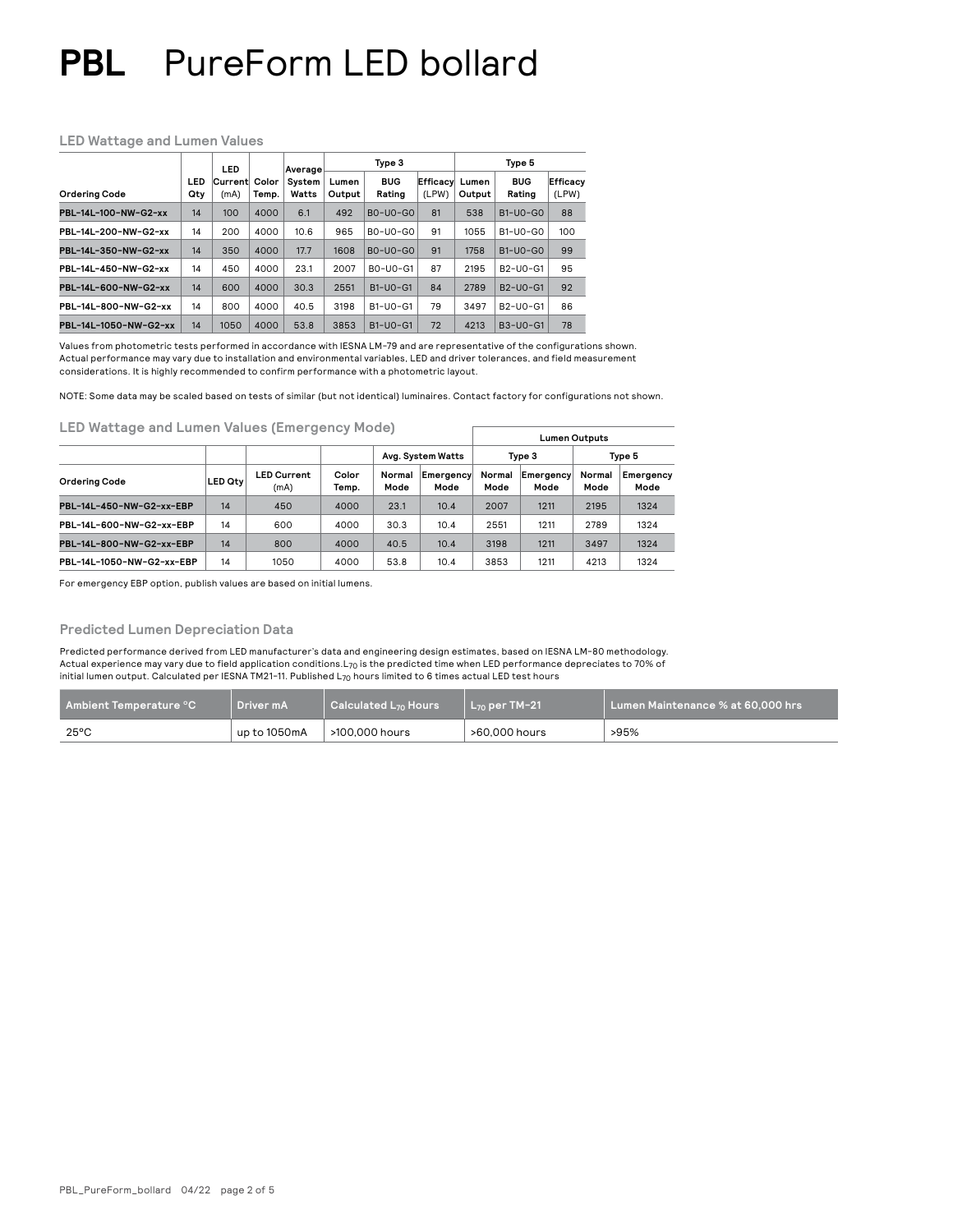### **LED Wattage and Lumen Values**

|                       | LED        |                 | Average        | Type 3          |                 |                      | Type 5            |                 |                                                |                   |
|-----------------------|------------|-----------------|----------------|-----------------|-----------------|----------------------|-------------------|-----------------|------------------------------------------------|-------------------|
| <b>Ordering Code</b>  | LED<br>Qty | Current<br>(mA) | Color<br>Temp. | System<br>Watts | Lumen<br>Output | <b>BUG</b><br>Rating | Efficacy<br>(LPW) | Lumen<br>Output | <b>BUG</b><br>Rating                           | Efficacy<br>(LPW) |
| PBL-14L-100-NW-G2-xx  | 14         | 100             | 4000           | 6.1             | 492             | $B0-U0-G0$           | 81                | 538             | $B1-UO-GO$                                     | 88                |
| PBL-14L-200-NW-G2-xx  | 14         | 200             | 4000           | 10.6            | 965             | $B0-U0-G0$           | 91                | 1055            | $B1-UO-GO$                                     | 100               |
| PBL-14L-350-NW-G2-xx  | 14         | 350             | 4000           | 17.7            | 1608            | $B0-U0-G0$           | 91                | 1758            | $B1-UO-GO$                                     | 99                |
| PBL-14L-450-NW-G2-xx  | 14         | 450             | 4000           | 23.1            | 2007            | $B0-U0-G1$           | 87                | 2195            | B <sub>2</sub> -U <sub>0</sub> -G <sub>1</sub> | 95                |
| PBL-14L-600-NW-G2-xx  | 14         | 600             | 4000           | 30.3            | 2551            | $B1-UO-G1$           | 84                | 2789            | B2-U0-G1                                       | 92                |
| PBL-14L-800-NW-G2-xx  | 14         | 800             | 4000           | 40.5            | 3198            | $B1-UO-G1$           | 79                | 3497            | B2-U0-G1                                       | 86                |
| PBL-14L-1050-NW-G2-xx | 14         | 1050            | 4000           | 53.8            | 3853            | $B1-UO-G1$           | 72                | 4213            | B3-U0-G1                                       | 78                |

Values from photometric tests performed in accordance with IESNA LM-79 and are representative of the configurations shown. Actual performance may vary due to installation and environmental variables, LED and driver tolerances, and field measurement considerations. It is highly recommended to confirm performance with a photometric layout.

NOTE: Some data may be scaled based on tests of similar (but not identical) luminaires. Contact factory for configurations not shown.

**LED Wattage and Lumen Values (Emergency Mode)** 

|                           | Lumen Outputs  |                            |                |                   |                   |                |                   |                |                   |
|---------------------------|----------------|----------------------------|----------------|-------------------|-------------------|----------------|-------------------|----------------|-------------------|
|                           |                |                            |                | Avg. System Watts |                   |                | Type 3            | Type 5         |                   |
| <b>Ordering Code</b>      | <b>LED Qtv</b> | <b>LED Current</b><br>(mA) | Color<br>Temp. | Normal<br>Mode    | Emergency<br>Mode | Normal<br>Mode | Emergency<br>Mode | Normal<br>Mode | Emergency<br>Mode |
| PBL-14L-450-NW-G2-xx-EBP  | 14             | 450                        | 4000           | 23.1              | 10.4              | 2007           | 1211              | 2195           | 1324              |
| PBL-14L-600-NW-G2-xx-EBP  | 14             | 600                        | 4000           | 30.3              | 10.4              | 2551           | 1211              | 2789           | 1324              |
| PBL-14L-800-NW-G2-xx-EBP  | 14             | 800                        | 4000           | 40.5              | 10.4              | 3198           | 1211              | 3497           | 1324              |
| PBL-14L-1050-NW-G2-xx-EBP | 14             | 1050                       | 4000           | 53.8              | 10.4              | 3853           | 1211              | 4213           | 1324              |

For emergency EBP option, publish values are based on initial lumens.

## **Predicted Lumen Depreciation Data**

Predicted performance derived from LED manufacturer's data and engineering design estimates, based on IESNA LM-80 methodology. Actual experience may vary due to field application conditions.L70 is the predicted time when LED performance depreciates to 70% of initial lumen output. Calculated per IESNA TM21-11. Published L70 hours limited to 6 times actual LED test hours

| $\,$ Ambient Temperature $^\circ\text{C}$ | Driver mA    | $\mid$ Calculated L <sub>70</sub> Hours | ∟ <sub>7∩</sub> per TM-21' | $\blacksquare$ Lumen Maintenance % at 60.000 hrs $\blacksquare$ |
|-------------------------------------------|--------------|-----------------------------------------|----------------------------|-----------------------------------------------------------------|
| $25^{\circ}$ C                            | up to 1050mA | >100.000 hours                          | >60,000 hours              | >95%                                                            |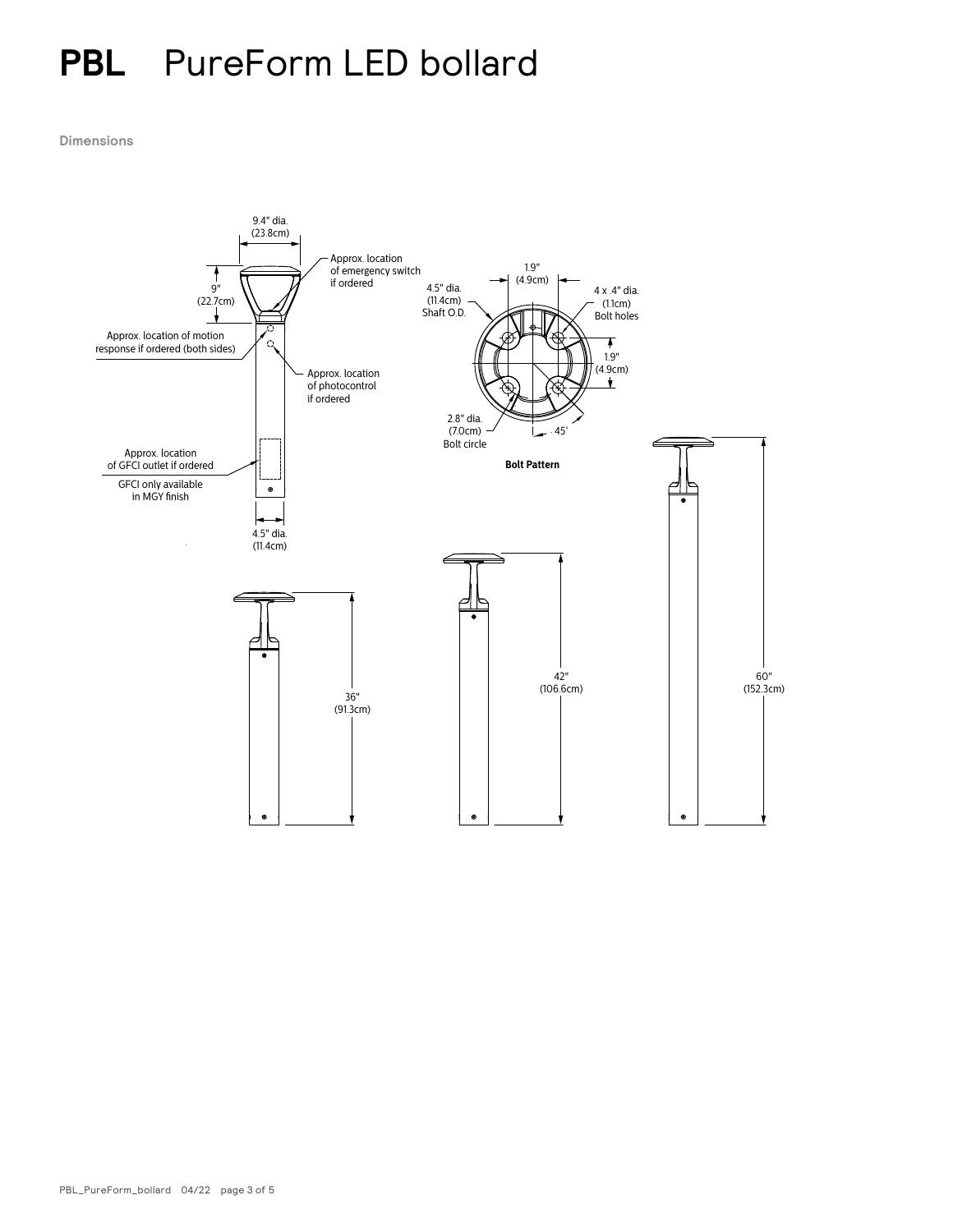**Dimensions**

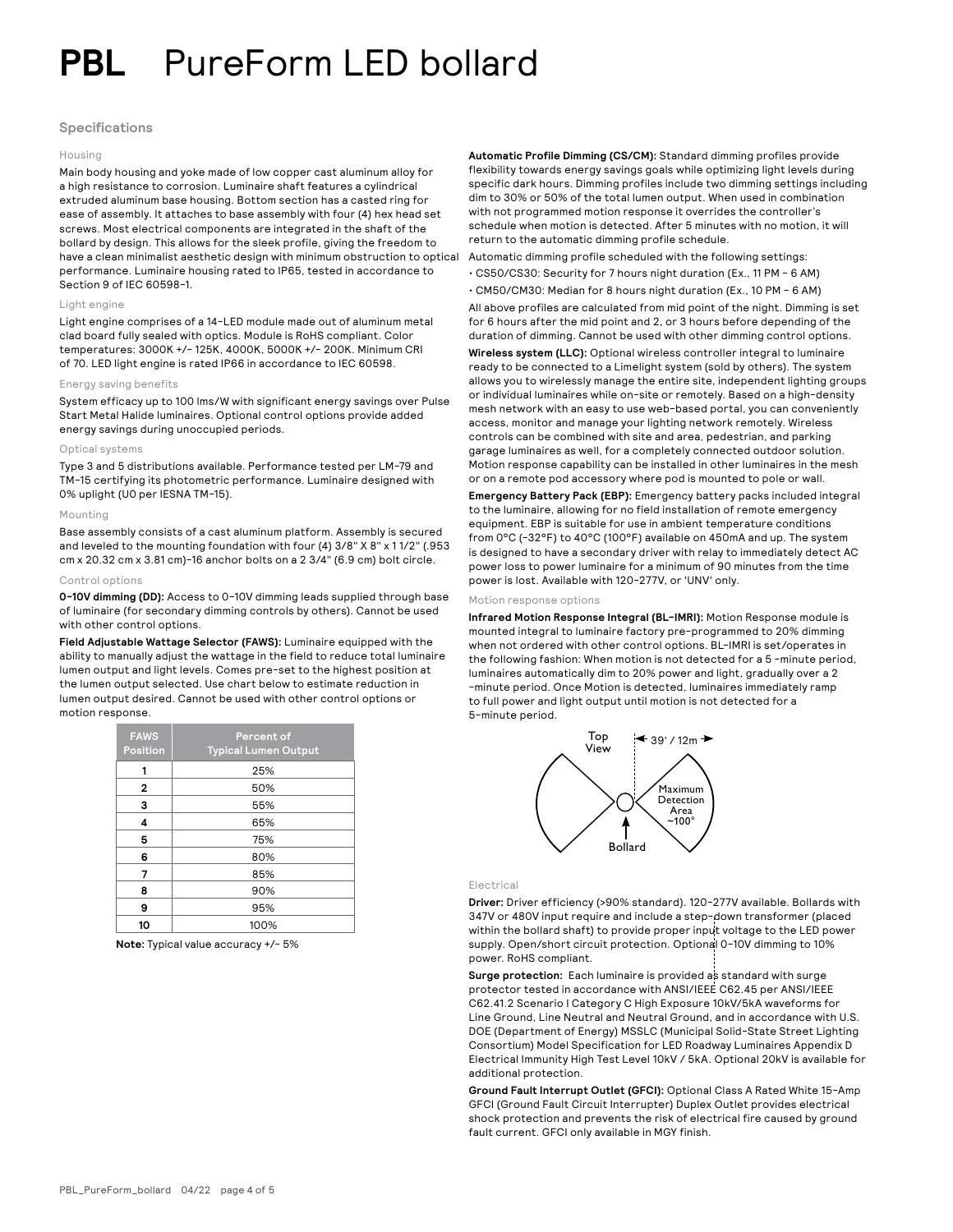### **Specifications**

#### Housing

Main body housing and yoke made of low copper cast aluminum alloy for a high resistance to corrosion. Luminaire shaft features a cylindrical extruded aluminum base housing. Bottom section has a casted ring for ease of assembly. It attaches to base assembly with four (4) hex head set screws. Most electrical components are integrated in the shaft of the bollard by design. This allows for the sleek profile, giving the freedom to have a clean minimalist aesthetic design with minimum obstruction to optical performance. Luminaire housing rated to IP65, tested in accordance to Section 9 of IEC 60598-1.

#### Light engine

Light engine comprises of a 14-LED module made out of aluminum metal clad board fully sealed with optics. Module is RoHS compliant. Color temperatures: 3000K +/- 125K, 4000K, 5000K +/- 200K. Minimum CRI of 70. LED light engine is rated IP66 in accordance to IEC 60598.

#### Energy saving benefits

System efficacy up to 100 lms/W with significant energy savings over Pulse Start Metal Halide luminaires. Optional control options provide added energy savings during unoccupied periods.

#### Optical systems

Type 3 and 5 distributions available. Performance tested per LM-79 and TM-15 certifying its photometric performance. Luminaire designed with 0% uplight (U0 per IESNA TM-15).

#### Mounting

Base assembly consists of a cast aluminum platform. Assembly is secured and leveled to the mounting foundation with four (4) 3/8" X 8" x 1 1/2" (.953 cm x 20.32 cm x 3.81 cm)-16 anchor bolts on a 2 3/4" (6.9 cm) bolt circle.

#### Control options

**0-10V dimming (DD):** Access to 0-10V dimming leads supplied through base of luminaire (for secondary dimming controls by others). Cannot be used with other control options.

**Field Adjustable Wattage Selector (FAWS):** Luminaire equipped with the ability to manually adjust the wattage in the field to reduce total luminaire lumen output and light levels. Comes pre-set to the highest position at the lumen output selected. Use chart below to estimate reduction in lumen output desired. Cannot be used with other control options or motion response.

| <b>FAWS</b><br><b>Position</b> | Percent of<br><b>Typical Lumen Output</b> |
|--------------------------------|-------------------------------------------|
| 1                              | 25%                                       |
| 2                              | 50%                                       |
| 3                              | 55%                                       |
| 4                              | 65%                                       |
| 5                              | 75%                                       |
| 6                              | 80%                                       |
| 7                              | 85%                                       |
| 8                              | 90%                                       |
| 9                              | 95%                                       |
| 10                             | 100%                                      |

**Note:** Typical value accuracy +/- 5%

**Automatic Profile Dimming (CS/CM):** Standard dimming profiles provide flexibility towards energy savings goals while optimizing light levels during specific dark hours. Dimming profiles include two dimming settings including dim to 30% or 50% of the total lumen output. When used in combination with not programmed motion response it overrides the controller's schedule when motion is detected. After 5 minutes with no motion, it will return to the automatic dimming profile schedule.

Automatic dimming profile scheduled with the following settings:

- CS50/CS30: Security for 7 hours night duration (Ex., 11 PM 6 AM)
- CM50/CM30: Median for 8 hours night duration (Ex., 10 PM 6 AM)

All above profiles are calculated from mid point of the night. Dimming is set for 6 hours after the mid point and 2, or 3 hours before depending of the duration of dimming. Cannot be used with other dimming control options.

**Wireless system (LLC):** Optional wireless controller integral to luminaire ready to be connected to a Limelight system (sold by others). The system allows you to wirelessly manage the entire site, independent lighting groups or individual luminaires while on-site or remotely. Based on a high-density mesh network with an easy to use web-based portal, you can conveniently access, monitor and manage your lighting network remotely. Wireless controls can be combined with site and area, pedestrian, and parking garage luminaires as well, for a completely connected outdoor solution. Motion response capability can be installed in other luminaires in the mesh or on a remote pod accessory where pod is mounted to pole or wall.

**Emergency Battery Pack (EBP):** Emergency battery packs included integral to the luminaire, allowing for no field installation of remote emergency equipment. EBP is suitable for use in ambient temperature conditions from 0°C (-32°F) to 40°C (100°F) available on 450mA and up. The system is designed to have a secondary driver with relay to immediately detect AC power loss to power luminaire for a minimum of 90 minutes from the time power is lost. Available with 120-277V, or 'UNV' only.

#### Motion response options

**Infrared Motion Response Integral (BL-IMRI):** Motion Response module is mounted integral to luminaire factory pre-programmed to 20% dimming when not ordered with other control options. BL-IMRI is set/operates in the following fashion: When motion is not detected for a 5 -minute period, luminaires automatically dim to 20% power and light, gradually over a 2 -minute period. Once Motion is detected, luminaires immediately ramp to full power and light output until motion is not detected for a 5-minute period.



#### Electrical

**Driver:** Driver efficiency (>90% standard). 120-277V available. Bollards with 347V or 480V input require and include a step-down transformer (placed within the bollard shaft) to provide proper input voltage to the LED power supply. Open/short circuit protection. Optional 0-10V dimming to 10% power. RoHS compliant.

Surge protection: Each luminaire is provided as standard with surge protector tested in accordance with ANSI/IEEE C62.45 per ANSI/IEEE C62.41.2 Scenario I Category C High Exposure 10kV/5kA waveforms for Line Ground, Line Neutral and Neutral Ground, and in accordance with U.S. DOE (Department of Energy) MSSLC (Municipal Solid-State Street Lighting Consortium) Model Specification for LED Roadway Luminaires Appendix D Electrical Immunity High Test Level 10kV / 5kA. Optional 20kV is available for additional protection.

**Ground Fault Interrupt Outlet (GFCI):** Optional Class A Rated White 15-Amp GFCI (Ground Fault Circuit Interrupter) Duplex Outlet provides electrical shock protection and prevents the risk of electrical fire caused by ground fault current. GFCI only available in MGY finish.